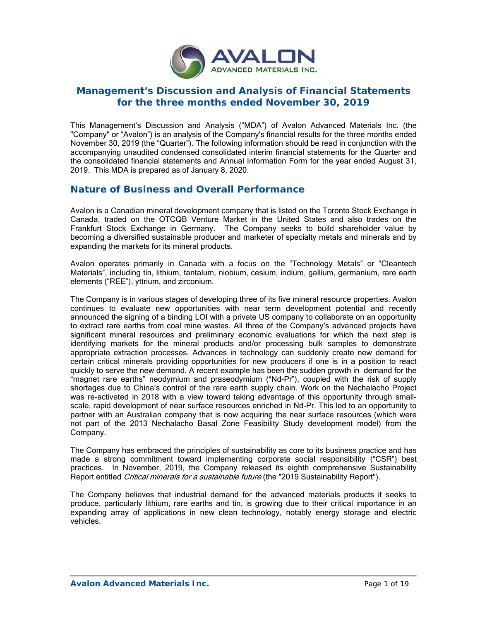

# **Management's Discussion and Analysis of Financial Statements for the three months ended November 30, 2019**

This Management's Discussion and Analysis ("MDA") of Avalon Advanced Materials Inc. (the "Company" or "Avalon") is an analysis of the Company's financial results for the three months ended November 30, 2019 (the "Quarter"). The following information should be read in conjunction with the accompanying unaudited condensed consolidated interim financial statements for the Quarter and the consolidated financial statements and Annual Information Form for the year ended August 31, 2019. This MDA is prepared as of January 8, 2020.

## **Nature of Business and Overall Performance**

Avalon is a Canadian mineral development company that is listed on the Toronto Stock Exchange in Canada, traded on the OTCQB Venture Market in the United States and also trades on the Frankfurt Stock Exchange in Germany. The Company seeks to build shareholder value by becoming a diversified sustainable producer and marketer of specialty metals and minerals and by expanding the markets for its mineral products.

Avalon operates primarily in Canada with a focus on the "Technology Metals" or "Cleantech Materials", including tin, lithium, tantalum, niobium, cesium, indium, gallium, germanium, rare earth elements ("REE"), yttrium, and zirconium.

The Company is in various stages of developing three of its five mineral resource properties. Avalon continues to evaluate new opportunities with near term development potential and recently announced the signing of a binding LOI with a private US company to collaborate on an opportunity to extract rare earths from coal mine wastes. All three of the Company's advanced projects have significant mineral resources and preliminary economic evaluations for which the next step is identifying markets for the mineral products and/or processing bulk samples to demonstrate appropriate extraction processes. Advances in technology can suddenly create new demand for certain critical minerals providing opportunities for new producers if one is in a position to react quickly to serve the new demand. A recent example has been the sudden growth in demand for the "magnet rare earths" neodymium and praseodymium ("Nd-Pr"), coupled with the risk of supply shortages due to China's control of the rare earth supply chain. Work on the Nechalacho Project was re-activated in 2018 with a view toward taking advantage of this opportunity through smallscale, rapid development of near surface resources enriched in Nd-Pr. This led to an opportunity to partner with an Australian company that is now acquiring the near surface resources (which were not part of the 2013 Nechalacho Basal Zone Feasibility Study development model) from the Company.

The Company has embraced the principles of sustainability as core to its business practice and has made a strong commitment toward implementing corporate social responsibility ("CSR") best practices. In November, 2019, the Company released its eighth comprehensive Sustainability Report entitled *Critical minerals for a sustainable future* (the "2019 Sustainability Report").

The Company believes that industrial demand for the advanced materials products it seeks to produce, particularly lithium, rare earths and tin, is growing due to their critical importance in an expanding array of applications in new clean technology, notably energy storage and electric vehicles.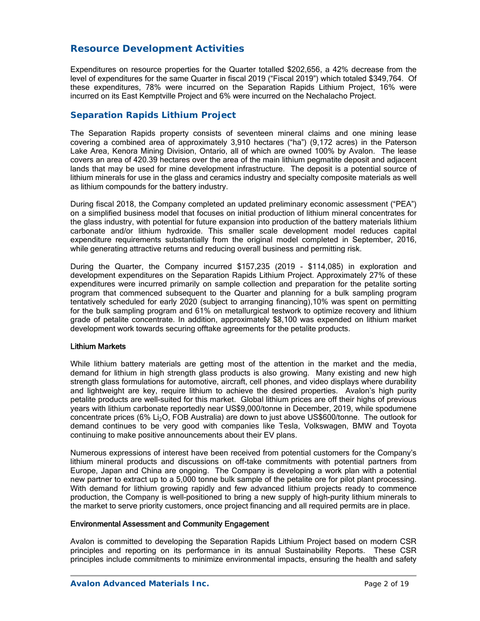# **Resource Development Activities**

Expenditures on resource properties for the Quarter totalled \$202,656, a 42% decrease from the level of expenditures for the same Quarter in fiscal 2019 ("Fiscal 2019") which totaled \$349,764. Of these expenditures, 78% were incurred on the Separation Rapids Lithium Project, 16% were incurred on its East Kemptville Project and 6% were incurred on the Nechalacho Project.

## *Separation Rapids Lithium Project*

The Separation Rapids property consists of seventeen mineral claims and one mining lease covering a combined area of approximately 3,910 hectares ("ha") (9,172 acres) in the Paterson Lake Area, Kenora Mining Division, Ontario, all of which are owned 100% by Avalon. The lease covers an area of 420.39 hectares over the area of the main lithium pegmatite deposit and adjacent lands that may be used for mine development infrastructure. The deposit is a potential source of lithium minerals for use in the glass and ceramics industry and specialty composite materials as well as lithium compounds for the battery industry.

During fiscal 2018, the Company completed an updated preliminary economic assessment ("PEA") on a simplified business model that focuses on initial production of lithium mineral concentrates for the glass industry, with potential for future expansion into production of the battery materials lithium carbonate and/or lithium hydroxide. This smaller scale development model reduces capital expenditure requirements substantially from the original model completed in September, 2016, while generating attractive returns and reducing overall business and permitting risk.

During the Quarter, the Company incurred \$157,235 (2019 - \$114,085) in exploration and development expenditures on the Separation Rapids Lithium Project. Approximately 27% of these expenditures were incurred primarily on sample collection and preparation for the petalite sorting program that commenced subsequent to the Quarter and planning for a bulk sampling program tentatively scheduled for early 2020 (subject to arranging financing),10% was spent on permitting for the bulk sampling program and 61% on metallurgical testwork to optimize recovery and lithium grade of petalite concentrate. In addition, approximately \$8,100 was expended on lithium market development work towards securing offtake agreements for the petalite products.

### Lithium Markets

While lithium battery materials are getting most of the attention in the market and the media, demand for lithium in high strength glass products is also growing. Many existing and new high strength glass formulations for automotive, aircraft, cell phones, and video displays where durability and lightweight are key, require lithium to achieve the desired properties. Avalon's high purity petalite products are well-suited for this market. Global lithium prices are off their highs of previous years with lithium carbonate reportedly near US\$9,000/tonne in December, 2019, while spodumene concentrate prices (6% Li<sub>2</sub>O, FOB Australia) are down to just above US\$600/tonne. The outlook for demand continues to be very good with companies like Tesla, Volkswagen, BMW and Toyota continuing to make positive announcements about their EV plans.

Numerous expressions of interest have been received from potential customers for the Company's lithium mineral products and discussions on off-take commitments with potential partners from Europe, Japan and China are ongoing. The Company is developing a work plan with a potential new partner to extract up to a 5,000 tonne bulk sample of the petalite ore for pilot plant processing. With demand for lithium growing rapidly and few advanced lithium projects ready to commence production, the Company is well-positioned to bring a new supply of high-purity lithium minerals to the market to serve priority customers, once project financing and all required permits are in place.

### Environmental Assessment and Community Engagement

Avalon is committed to developing the Separation Rapids Lithium Project based on modern CSR principles and reporting on its performance in its annual Sustainability Reports. These CSR principles include commitments to minimize environmental impacts, ensuring the health and safety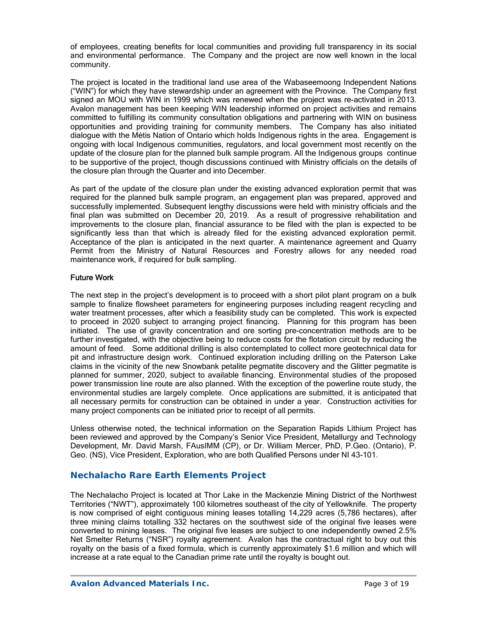of employees, creating benefits for local communities and providing full transparency in its social and environmental performance. The Company and the project are now well known in the local community.

The project is located in the traditional land use area of the Wabaseemoong Independent Nations ("WIN") for which they have stewardship under an agreement with the Province. The Company first signed an MOU with WIN in 1999 which was renewed when the project was re-activated in 2013. Avalon management has been keeping WIN leadership informed on project activities and remains committed to fulfilling its community consultation obligations and partnering with WIN on business opportunities and providing training for community members. The Company has also initiated dialogue with the Métis Nation of Ontario which holds Indigenous rights in the area. Engagement is ongoing with local Indigenous communities, regulators, and local government most recently on the update of the closure plan for the planned bulk sample program. All the Indigenous groups continue to be supportive of the project, though discussions continued with Ministry officials on the details of the closure plan through the Quarter and into December.

As part of the update of the closure plan under the existing advanced exploration permit that was required for the planned bulk sample program, an engagement plan was prepared, approved and successfully implemented. Subsequent lengthy discussions were held with ministry officials and the final plan was submitted on December 20, 2019. As a result of progressive rehabilitation and improvements to the closure plan, financial assurance to be filed with the plan is expected to be significantly less than that which is already filed for the existing advanced exploration permit. Acceptance of the plan is anticipated in the next quarter. A maintenance agreement and Quarry Permit from the Ministry of Natural Resources and Forestry allows for any needed road maintenance work, if required for bulk sampling.

### Future Work

The next step in the project's development is to proceed with a short pilot plant program on a bulk sample to finalize flowsheet parameters for engineering purposes including reagent recycling and water treatment processes, after which a feasibility study can be completed. This work is expected to proceed in 2020 subject to arranging project financing. Planning for this program has been initiated. The use of gravity concentration and ore sorting pre-concentration methods are to be further investigated, with the objective being to reduce costs for the flotation circuit by reducing the amount of feed. Some additional drilling is also contemplated to collect more geotechnical data for pit and infrastructure design work. Continued exploration including drilling on the Paterson Lake claims in the vicinity of the new Snowbank petalite pegmatite discovery and the Glitter pegmatite is planned for summer, 2020, subject to available financing. Environmental studies of the proposed power transmission line route are also planned. With the exception of the powerline route study, the environmental studies are largely complete. Once applications are submitted, it is anticipated that all necessary permits for construction can be obtained in under a year. Construction activities for many project components can be initiated prior to receipt of all permits.

Unless otherwise noted, the technical information on the Separation Rapids Lithium Project has been reviewed and approved by the Company's Senior Vice President, Metallurgy and Technology Development, Mr. David Marsh, FAusIMM (CP), or Dr. William Mercer, PhD, P.Geo. (Ontario), P. Geo. (NS), Vice President, Exploration, who are both Qualified Persons under NI 43-101.

## **Nechalacho Rare Earth Elements Project**

The Nechalacho Project is located at Thor Lake in the Mackenzie Mining District of the Northwest Territories ("NWT"), approximately 100 kilometres southeast of the city of Yellowknife. The property is now comprised of eight contiguous mining leases totalling 14,229 acres (5,786 hectares), after three mining claims totalling 332 hectares on the southwest side of the original five leases were converted to mining leases. The original five leases are subject to one independently owned 2.5% Net Smelter Returns ("NSR") royalty agreement. Avalon has the contractual right to buy out this royalty on the basis of a fixed formula, which is currently approximately \$1.6 million and which will increase at a rate equal to the Canadian prime rate until the royalty is bought out.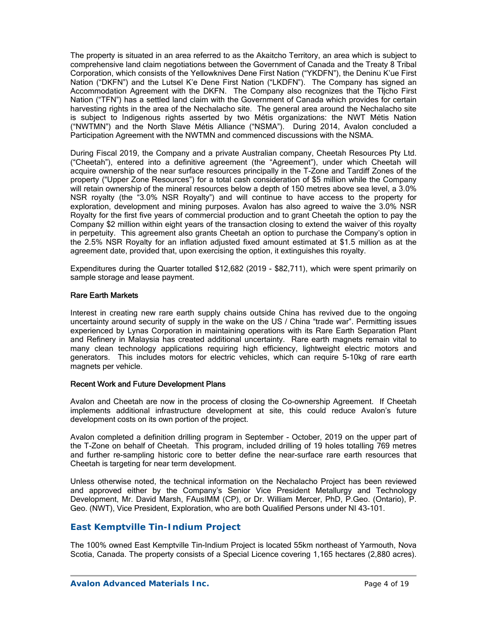The property is situated in an area referred to as the Akaitcho Territory, an area which is subject to comprehensive land claim negotiations between the Government of Canada and the Treaty 8 Tribal Corporation, which consists of the Yellowknives Dene First Nation ("YKDFN"), the Deninu K'ue First Nation ("DKFN") and the Lutsel K'e Dene First Nation ("LKDFN"). The Company has signed an Accommodation Agreement with the DKFN. The Company also recognizes that the Tłįcho First Nation ("TFN") has a settled land claim with the Government of Canada which provides for certain harvesting rights in the area of the Nechalacho site. The general area around the Nechalacho site is subject to Indigenous rights asserted by two Métis organizations: the NWT Métis Nation ("NWTMN") and the North Slave Métis Alliance ("NSMA"). During 2014, Avalon concluded a Participation Agreement with the NWTMN and commenced discussions with the NSMA.

During Fiscal 2019, the Company and a private Australian company, Cheetah Resources Pty Ltd. ("Cheetah"), entered into a definitive agreement (the "Agreement"), under which Cheetah will acquire ownership of the near surface resources principally in the T-Zone and Tardiff Zones of the property ("Upper Zone Resources") for a total cash consideration of \$5 million while the Company will retain ownership of the mineral resources below a depth of 150 metres above sea level, a 3.0% NSR royalty (the "3.0% NSR Royalty") and will continue to have access to the property for exploration, development and mining purposes. Avalon has also agreed to waive the 3.0% NSR Royalty for the first five years of commercial production and to grant Cheetah the option to pay the Company \$2 million within eight years of the transaction closing to extend the waiver of this royalty in perpetuity. This agreement also grants Cheetah an option to purchase the Company's option in the 2.5% NSR Royalty for an inflation adjusted fixed amount estimated at \$1.5 million as at the agreement date, provided that, upon exercising the option, it extinguishes this royalty.

Expenditures during the Quarter totalled \$12,682 (2019 - \$82,711), which were spent primarily on sample storage and lease payment.

### Rare Earth Markets

Interest in creating new rare earth supply chains outside China has revived due to the ongoing uncertainty around security of supply in the wake on the US / China "trade war". Permitting issues experienced by Lynas Corporation in maintaining operations with its Rare Earth Separation Plant and Refinery in Malaysia has created additional uncertainty. Rare earth magnets remain vital to many clean technology applications requiring high efficiency, lightweight electric motors and generators. This includes motors for electric vehicles, which can require 5-10kg of rare earth magnets per vehicle.

### Recent Work and Future Development Plans

Avalon and Cheetah are now in the process of closing the Co-ownership Agreement. If Cheetah implements additional infrastructure development at site, this could reduce Avalon's future development costs on its own portion of the project.

Avalon completed a definition drilling program in September - October, 2019 on the upper part of the T-Zone on behalf of Cheetah. This program, included drilling of 19 holes totalling 769 metres and further re-sampling historic core to better define the near-surface rare earth resources that Cheetah is targeting for near term development.

Unless otherwise noted, the technical information on the Nechalacho Project has been reviewed and approved either by the Company's Senior Vice President Metallurgy and Technology Development, Mr. David Marsh, FAusIMM (CP), or Dr. William Mercer, PhD, P.Geo. (Ontario), P. Geo. (NWT), Vice President, Exploration, who are both Qualified Persons under NI 43-101.

## *East Kemptville Tin-Indium Project*

The 100% owned East Kemptville Tin-Indium Project is located 55km northeast of Yarmouth, Nova Scotia, Canada. The property consists of a Special Licence covering 1,165 hectares (2,880 acres).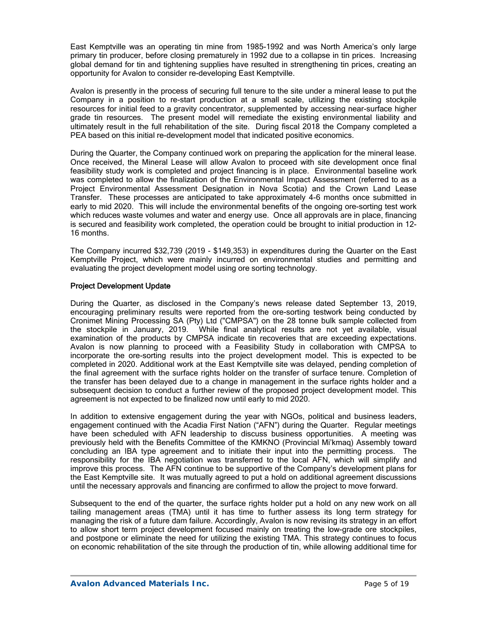East Kemptville was an operating tin mine from 1985-1992 and was North America's only large primary tin producer, before closing prematurely in 1992 due to a collapse in tin prices. Increasing global demand for tin and tightening supplies have resulted in strengthening tin prices, creating an opportunity for Avalon to consider re-developing East Kemptville.

Avalon is presently in the process of securing full tenure to the site under a mineral lease to put the Company in a position to re-start production at a small scale, utilizing the existing stockpile resources for initial feed to a gravity concentrator, supplemented by accessing near-surface higher grade tin resources. The present model will remediate the existing environmental liability and ultimately result in the full rehabilitation of the site. During fiscal 2018 the Company completed a PEA based on this initial re-development model that indicated positive economics.

During the Quarter, the Company continued work on preparing the application for the mineral lease. Once received, the Mineral Lease will allow Avalon to proceed with site development once final feasibility study work is completed and project financing is in place. Environmental baseline work was completed to allow the finalization of the Environmental Impact Assessment (referred to as a Project Environmental Assessment Designation in Nova Scotia) and the Crown Land Lease Transfer. These processes are anticipated to take approximately 4-6 months once submitted in early to mid 2020. This will include the environmental benefits of the ongoing ore-sorting test work which reduces waste volumes and water and energy use. Once all approvals are in place, financing is secured and feasibility work completed, the operation could be brought to initial production in 12- 16 months.

The Company incurred \$32,739 (2019 - \$149,353) in expenditures during the Quarter on the East Kemptville Project, which were mainly incurred on environmental studies and permitting and evaluating the project development model using ore sorting technology.

### Project Development Update

During the Quarter, as disclosed in the Company's news release dated September 13, 2019, encouraging preliminary results were reported from the ore-sorting testwork being conducted by Cronimet Mining Processing SA (Pty) Ltd ("CMPSA") on the 28 tonne bulk sample collected from the stockpile in January, 2019. While final analytical results are not yet available, visual examination of the products by CMPSA indicate tin recoveries that are exceeding expectations. Avalon is now planning to proceed with a Feasibility Study in collaboration with CMPSA to incorporate the ore-sorting results into the project development model. This is expected to be completed in 2020. Additional work at the East Kemptville site was delayed, pending completion of the final agreement with the surface rights holder on the transfer of surface tenure. Completion of the transfer has been delayed due to a change in management in the surface rights holder and a subsequent decision to conduct a further review of the proposed project development model. This agreement is not expected to be finalized now until early to mid 2020.

In addition to extensive engagement during the year with NGOs, political and business leaders, engagement continued with the Acadia First Nation ("AFN") during the Quarter. Regular meetings have been scheduled with AFN leadership to discuss business opportunities. A meeting was previously held with the Benefits Committee of the KMKNO (Provincial Mi'kmaq) Assembly toward concluding an IBA type agreement and to initiate their input into the permitting process. The responsibility for the IBA negotiation was transferred to the local AFN, which will simplify and improve this process. The AFN continue to be supportive of the Company's development plans for the East Kemptville site. It was mutually agreed to put a hold on additional agreement discussions until the necessary approvals and financing are confirmed to allow the project to move forward.

Subsequent to the end of the quarter, the surface rights holder put a hold on any new work on all tailing management areas (TMA) until it has time to further assess its long term strategy for managing the risk of a future dam failure. Accordingly, Avalon is now revising its strategy in an effort to allow short term project development focused mainly on treating the low-grade ore stockpiles, and postpone or eliminate the need for utilizing the existing TMA. This strategy continues to focus on economic rehabilitation of the site through the production of tin, while allowing additional time for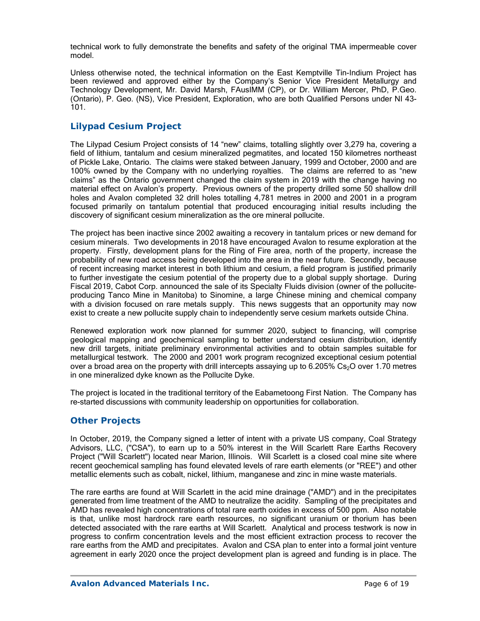technical work to fully demonstrate the benefits and safety of the original TMA impermeable cover model.

Unless otherwise noted, the technical information on the East Kemptville Tin-Indium Project has been reviewed and approved either by the Company's Senior Vice President Metallurgy and Technology Development, Mr. David Marsh, FAusIMM (CP), or Dr. William Mercer, PhD, P.Geo. (Ontario), P. Geo. (NS), Vice President, Exploration, who are both Qualified Persons under NI 43- 101.

## *Lilypad Cesium Project*

The Lilypad Cesium Project consists of 14 "new" claims, totalling slightly over 3,279 ha, covering a field of lithium, tantalum and cesium mineralized pegmatites, and located 150 kilometres northeast of Pickle Lake, Ontario. The claims were staked between January, 1999 and October, 2000 and are 100% owned by the Company with no underlying royalties. The claims are referred to as "new claims" as the Ontario government changed the claim system in 2019 with the change having no material effect on Avalon's property. Previous owners of the property drilled some 50 shallow drill holes and Avalon completed 32 drill holes totalling 4,781 metres in 2000 and 2001 in a program focused primarily on tantalum potential that produced encouraging initial results including the discovery of significant cesium mineralization as the ore mineral pollucite.

The project has been inactive since 2002 awaiting a recovery in tantalum prices or new demand for cesium minerals. Two developments in 2018 have encouraged Avalon to resume exploration at the property. Firstly, development plans for the Ring of Fire area, north of the property, increase the probability of new road access being developed into the area in the near future. Secondly, because of recent increasing market interest in both lithium and cesium, a field program is justified primarily to further investigate the cesium potential of the property due to a global supply shortage. During Fiscal 2019, Cabot Corp. announced the sale of its Specialty Fluids division (owner of the polluciteproducing Tanco Mine in Manitoba) to Sinomine, a large Chinese mining and chemical company with a division focused on rare metals supply. This news suggests that an opportunity may now exist to create a new pollucite supply chain to independently serve cesium markets outside China.

Renewed exploration work now planned for summer 2020, subject to financing, will comprise geological mapping and geochemical sampling to better understand cesium distribution, identify new drill targets, initiate preliminary environmental activities and to obtain samples suitable for metallurgical testwork. The 2000 and 2001 work program recognized exceptional cesium potential over a broad area on the property with drill intercepts assaying up to  $6.205\%$  Cs<sub>2</sub>O over 1.70 metres in one mineralized dyke known as the Pollucite Dyke.

The project is located in the traditional territory of the Eabametoong First Nation. The Company has re-started discussions with community leadership on opportunities for collaboration.

### *Other Projects*

In October, 2019, the Company signed a letter of intent with a private US company, Coal Strategy Advisors, LLC, ("CSA"), to earn up to a 50% interest in the Will Scarlett Rare Earths Recovery Project ("Will Scarlett") located near Marion, Illinois. Will Scarlett is a closed coal mine site where recent geochemical sampling has found elevated levels of rare earth elements (or "REE") and other metallic elements such as cobalt, nickel, lithium, manganese and zinc in mine waste materials.

The rare earths are found at Will Scarlett in the acid mine drainage ("AMD") and in the precipitates generated from lime treatment of the AMD to neutralize the acidity. Sampling of the precipitates and AMD has revealed high concentrations of total rare earth oxides in excess of 500 ppm. Also notable is that, unlike most hardrock rare earth resources, no significant uranium or thorium has been detected associated with the rare earths at Will Scarlett. Analytical and process testwork is now in progress to confirm concentration levels and the most efficient extraction process to recover the rare earths from the AMD and precipitates. Avalon and CSA plan to enter into a formal joint venture agreement in early 2020 once the project development plan is agreed and funding is in place. The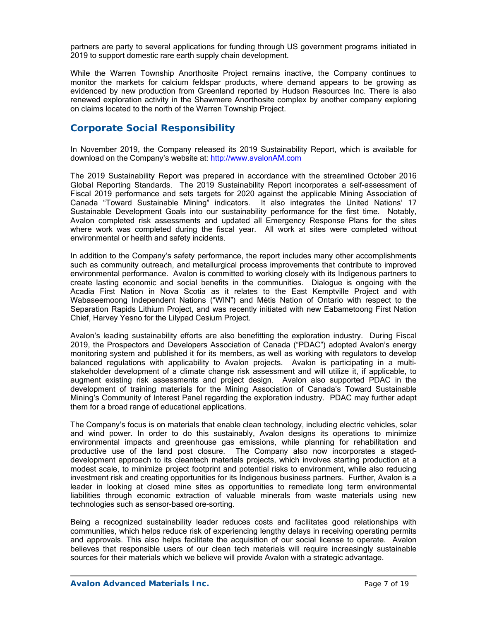partners are party to several applications for funding through US government programs initiated in 2019 to support domestic rare earth supply chain development.

While the Warren Township Anorthosite Project remains inactive, the Company continues to monitor the markets for calcium feldspar products, where demand appears to be growing as evidenced by new production from Greenland reported by Hudson Resources Inc. There is also renewed exploration activity in the Shawmere Anorthosite complex by another company exploring on claims located to the north of the Warren Township Project.

# **Corporate Social Responsibility**

In November 2019, the Company released its 2019 Sustainability Report, which is available for download on the Company's website at: http://www.avalonAM.com

The 2019 Sustainability Report was prepared in accordance with the streamlined October 2016 Global Reporting Standards. The 2019 Sustainability Report incorporates a self-assessment of Fiscal 2019 performance and sets targets for 2020 against the applicable Mining Association of Canada "Toward Sustainable Mining" indicators. It also integrates the United Nations' 17 Sustainable Development Goals into our sustainability performance for the first time. Notably, Avalon completed risk assessments and updated all Emergency Response Plans for the sites where work was completed during the fiscal year. All work at sites were completed without environmental or health and safety incidents.

In addition to the Company's safety performance, the report includes many other accomplishments such as community outreach, and metallurgical process improvements that contribute to improved environmental performance. Avalon is committed to working closely with its Indigenous partners to create lasting economic and social benefits in the communities. Dialogue is ongoing with the Acadia First Nation in Nova Scotia as it relates to the East Kemptville Project and with Wabaseemoong Independent Nations ("WIN") and Métis Nation of Ontario with respect to the Separation Rapids Lithium Project, and was recently initiated with new Eabametoong First Nation Chief, Harvey Yesno for the Lilypad Cesium Project.

Avalon's leading sustainability efforts are also benefitting the exploration industry. During Fiscal 2019, the Prospectors and Developers Association of Canada ("PDAC") adopted Avalon's energy monitoring system and published it for its members, as well as working with regulators to develop balanced regulations with applicability to Avalon projects. Avalon is participating in a multistakeholder development of a climate change risk assessment and will utilize it, if applicable, to augment existing risk assessments and project design. Avalon also supported PDAC in the development of training materials for the Mining Association of Canada's Toward Sustainable Mining's Community of Interest Panel regarding the exploration industry. PDAC may further adapt them for a broad range of educational applications.

The Company's focus is on materials that enable clean technology, including electric vehicles, solar and wind power. In order to do this sustainably, Avalon designs its operations to minimize environmental impacts and greenhouse gas emissions, while planning for rehabilitation and productive use of the land post closure. The Company also now incorporates a stageddevelopment approach to its cleantech materials projects, which involves starting production at a modest scale, to minimize project footprint and potential risks to environment, while also reducing investment risk and creating opportunities for its Indigenous business partners. Further, Avalon is a leader in looking at closed mine sites as opportunities to remediate long term environmental liabilities through economic extraction of valuable minerals from waste materials using new technologies such as sensor-based ore-sorting.

Being a recognized sustainability leader reduces costs and facilitates good relationships with communities, which helps reduce risk of experiencing lengthy delays in receiving operating permits and approvals. This also helps facilitate the acquisition of our social license to operate. Avalon believes that responsible users of our clean tech materials will require increasingly sustainable sources for their materials which we believe will provide Avalon with a strategic advantage.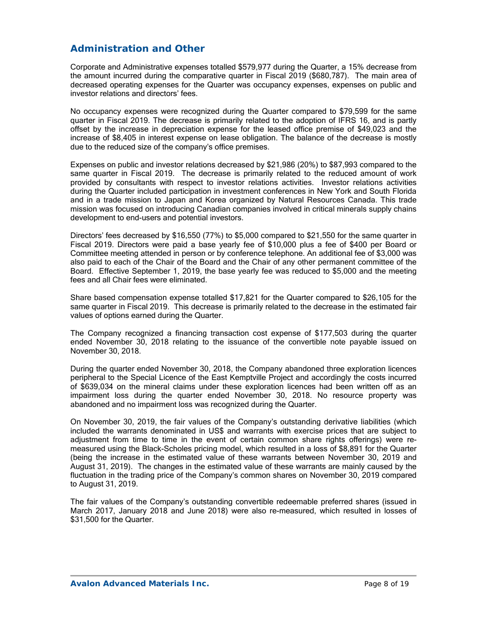# **Administration and Other**

Corporate and Administrative expenses totalled \$579,977 during the Quarter, a 15% decrease from the amount incurred during the comparative quarter in Fiscal 2019 (\$680,787). The main area of decreased operating expenses for the Quarter was occupancy expenses, expenses on public and investor relations and directors' fees.

No occupancy expenses were recognized during the Quarter compared to \$79,599 for the same quarter in Fiscal 2019. The decrease is primarily related to the adoption of IFRS 16, and is partly offset by the increase in depreciation expense for the leased office premise of \$49,023 and the increase of \$8,405 in interest expense on lease obligation. The balance of the decrease is mostly due to the reduced size of the company's office premises.

Expenses on public and investor relations decreased by \$21,986 (20%) to \$87,993 compared to the same quarter in Fiscal 2019. The decrease is primarily related to the reduced amount of work provided by consultants with respect to investor relations activities. Investor relations activities during the Quarter included participation in investment conferences in New York and South Florida and in a trade mission to Japan and Korea organized by Natural Resources Canada. This trade mission was focused on introducing Canadian companies involved in critical minerals supply chains development to end-users and potential investors.

Directors' fees decreased by \$16,550 (77%) to \$5,000 compared to \$21,550 for the same quarter in Fiscal 2019. Directors were paid a base yearly fee of \$10,000 plus a fee of \$400 per Board or Committee meeting attended in person or by conference telephone. An additional fee of \$3,000 was also paid to each of the Chair of the Board and the Chair of any other permanent committee of the Board. Effective September 1, 2019, the base yearly fee was reduced to \$5,000 and the meeting fees and all Chair fees were eliminated.

Share based compensation expense totalled \$17,821 for the Quarter compared to \$26,105 for the same quarter in Fiscal 2019. This decrease is primarily related to the decrease in the estimated fair values of options earned during the Quarter.

The Company recognized a financing transaction cost expense of \$177,503 during the quarter ended November 30, 2018 relating to the issuance of the convertible note payable issued on November 30, 2018.

During the quarter ended November 30, 2018, the Company abandoned three exploration licences peripheral to the Special Licence of the East Kemptville Project and accordingly the costs incurred of \$639,034 on the mineral claims under these exploration licences had been written off as an impairment loss during the quarter ended November 30, 2018. No resource property was abandoned and no impairment loss was recognized during the Quarter.

On November 30, 2019, the fair values of the Company's outstanding derivative liabilities (which included the warrants denominated in US\$ and warrants with exercise prices that are subject to adjustment from time to time in the event of certain common share rights offerings) were remeasured using the Black-Scholes pricing model, which resulted in a loss of \$8,891 for the Quarter (being the increase in the estimated value of these warrants between November 30, 2019 and August 31, 2019). The changes in the estimated value of these warrants are mainly caused by the fluctuation in the trading price of the Company's common shares on November 30, 2019 compared to August 31, 2019.

The fair values of the Company's outstanding convertible redeemable preferred shares (issued in March 2017, January 2018 and June 2018) were also re-measured, which resulted in losses of \$31,500 for the Quarter.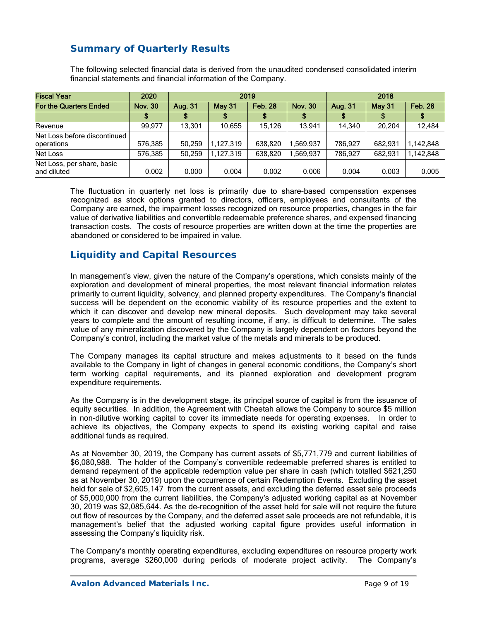# **Summary of Quarterly Results**

The following selected financial data is derived from the unaudited condensed consolidated interim financial statements and financial information of the Company.

| <b>Fiscal Year</b>                         | 2020           |         |               | 2019           |                | 2018           |         |                |
|--------------------------------------------|----------------|---------|---------------|----------------|----------------|----------------|---------|----------------|
| <b>For the Quarters Ended</b>              | <b>Nov. 30</b> | Aug. 31 | <b>May 31</b> | <b>Feb. 28</b> | <b>Nov. 30</b> | <b>Aug. 31</b> | May 31  | <b>Feb. 28</b> |
|                                            |                |         |               |                |                |                |         |                |
| Revenue                                    | 99.977         | 13.301  | 10.655        | 15.126         | 13.941         | 14.340         | 20.204  | 12,484         |
| Net Loss before discontinued<br>operations | 576,385        | 50.259  | 1.127.319     | 638.820        | 1,569,937      | 786.927        | 682.931 | 1,142,848      |
| Net Loss                                   | 576,385        | 50.259  | 1.127.319     | 638.820        | 1.569.937      | 786.927        | 682.931 | 1.142.848      |
| Net Loss, per share, basic<br>land diluted | 0.002          | 0.000   | 0.004         | 0.002          | 0.006          | 0.004          | 0.003   | 0.005          |

The fluctuation in quarterly net loss is primarily due to share-based compensation expenses recognized as stock options granted to directors, officers, employees and consultants of the Company are earned, the impairment losses recognized on resource properties, changes in the fair value of derivative liabilities and convertible redeemable preference shares, and expensed financing transaction costs. The costs of resource properties are written down at the time the properties are abandoned or considered to be impaired in value.

# **Liquidity and Capital Resources**

In management's view, given the nature of the Company's operations, which consists mainly of the exploration and development of mineral properties, the most relevant financial information relates primarily to current liquidity, solvency, and planned property expenditures. The Company's financial success will be dependent on the economic viability of its resource properties and the extent to which it can discover and develop new mineral deposits. Such development may take several years to complete and the amount of resulting income, if any, is difficult to determine. The sales value of any mineralization discovered by the Company is largely dependent on factors beyond the Company's control, including the market value of the metals and minerals to be produced.

The Company manages its capital structure and makes adjustments to it based on the funds available to the Company in light of changes in general economic conditions, the Company's short term working capital requirements, and its planned exploration and development program expenditure requirements.

As the Company is in the development stage, its principal source of capital is from the issuance of equity securities. In addition, the Agreement with Cheetah allows the Company to source \$5 million in non-dilutive working capital to cover its immediate needs for operating expenses. In order to achieve its objectives, the Company expects to spend its existing working capital and raise additional funds as required.

As at November 30, 2019, the Company has current assets of \$5,771,779 and current liabilities of \$6,080,988. The holder of the Company's convertible redeemable preferred shares is entitled to demand repayment of the applicable redemption value per share in cash (which totalled \$621,250 as at November 30, 2019) upon the occurrence of certain Redemption Events. Excluding the asset held for sale of \$2,605,147 from the current assets, and excluding the deferred asset sale proceeds of \$5,000,000 from the current liabilities, the Company's adjusted working capital as at November 30, 2019 was \$2,085,644. As the de-recognition of the asset held for sale will not require the future out flow of resources by the Company, and the deferred asset sale proceeds are not refundable, it is management's belief that the adjusted working capital figure provides useful information in assessing the Company's liquidity risk.

The Company's monthly operating expenditures, excluding expenditures on resource property work programs, average \$260,000 during periods of moderate project activity. The Company's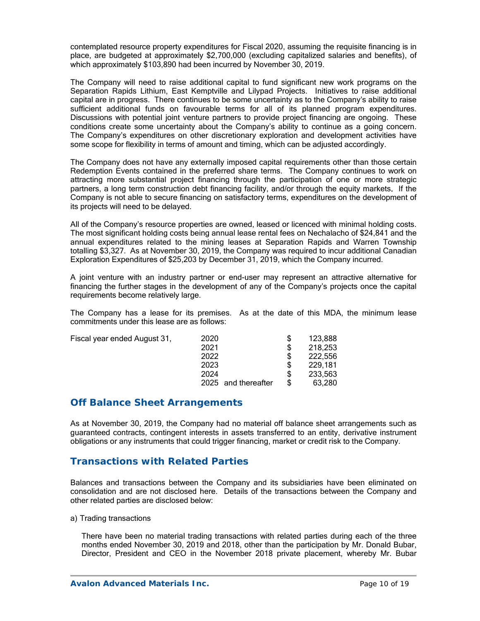contemplated resource property expenditures for Fiscal 2020, assuming the requisite financing is in place, are budgeted at approximately \$2,700,000 (excluding capitalized salaries and benefits), of which approximately \$103,890 had been incurred by November 30, 2019.

The Company will need to raise additional capital to fund significant new work programs on the Separation Rapids Lithium, East Kemptville and Lilypad Projects. Initiatives to raise additional capital are in progress. There continues to be some uncertainty as to the Company's ability to raise sufficient additional funds on favourable terms for all of its planned program expenditures. Discussions with potential joint venture partners to provide project financing are ongoing. These conditions create some uncertainty about the Company's ability to continue as a going concern. The Company's expenditures on other discretionary exploration and development activities have some scope for flexibility in terms of amount and timing, which can be adjusted accordingly.

The Company does not have any externally imposed capital requirements other than those certain Redemption Events contained in the preferred share terms. The Company continues to work on attracting more substantial project financing through the participation of one or more strategic partners, a long term construction debt financing facility, and/or through the equity markets. If the Company is not able to secure financing on satisfactory terms, expenditures on the development of its projects will need to be delayed.

All of the Company's resource properties are owned, leased or licenced with minimal holding costs. The most significant holding costs being annual lease rental fees on Nechalacho of \$24,841 and the annual expenditures related to the mining leases at Separation Rapids and Warren Township totalling \$3,327. As at November 30, 2019, the Company was required to incur additional Canadian Exploration Expenditures of \$25,203 by December 31, 2019, which the Company incurred.

A joint venture with an industry partner or end-user may represent an attractive alternative for financing the further stages in the development of any of the Company's projects once the capital requirements become relatively large.

The Company has a lease for its premises. As at the date of this MDA, the minimum lease commitments under this lease are as follows:

| Fiscal year ended August 31, | 2020                |   | 123,888 |
|------------------------------|---------------------|---|---------|
|                              | 2021                | S | 218,253 |
|                              | 2022                |   | 222,556 |
|                              | 2023                |   | 229.181 |
|                              | 2024                |   | 233,563 |
|                              | 2025 and thereafter |   | 63,280  |

## **Off Balance Sheet Arrangements**

As at November 30, 2019, the Company had no material off balance sheet arrangements such as guaranteed contracts, contingent interests in assets transferred to an entity, derivative instrument obligations or any instruments that could trigger financing, market or credit risk to the Company.

## **Transactions with Related Parties**

Balances and transactions between the Company and its subsidiaries have been eliminated on consolidation and are not disclosed here. Details of the transactions between the Company and other related parties are disclosed below:

a) Trading transactions

There have been no material trading transactions with related parties during each of the three months ended November 30, 2019 and 2018, other than the participation by Mr. Donald Bubar, Director, President and CEO in the November 2018 private placement, whereby Mr. Bubar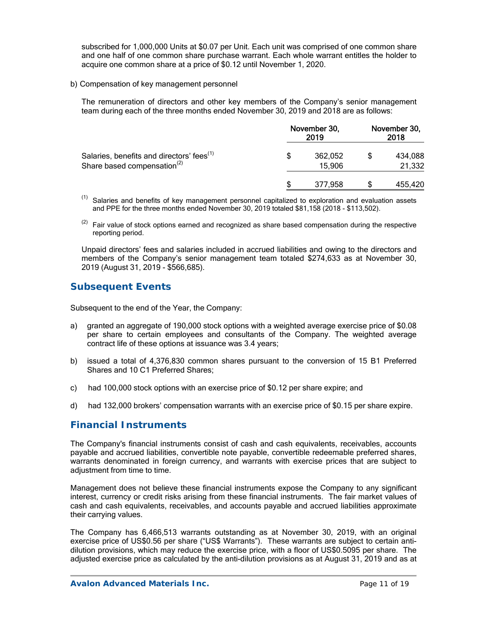subscribed for 1,000,000 Units at \$0.07 per Unit. Each unit was comprised of one common share and one half of one common share purchase warrant. Each whole warrant entitles the holder to acquire one common share at a price of \$0.12 until November 1, 2020.

b) Compensation of key management personnel

The remuneration of directors and other key members of the Company's senior management team during each of the three months ended November 30, 2019 and 2018 are as follows:

|                                                                                                  | November 30,<br>2019 | November 30,<br>2018 |
|--------------------------------------------------------------------------------------------------|----------------------|----------------------|
| Salaries, benefits and directors' fees <sup>(1)</sup><br>Share based compensation <sup>(2)</sup> | 362,052<br>15,906    | 434,088<br>21,332    |
|                                                                                                  | 377.958              | 455,420              |

 $<sup>(1)</sup>$  Salaries and benefits of key management personnel capitalized to exploration and evaluation assets</sup> and PPE for the three months ended November 30, 2019 totaled \$81,158 (2018 - \$113,502).

 $(2)$  Fair value of stock options earned and recognized as share based compensation during the respective reporting period.

Unpaid directors' fees and salaries included in accrued liabilities and owing to the directors and members of the Company's senior management team totaled \$274,633 as at November 30, 2019 (August 31, 2019 - \$566,685).

# **Subsequent Events**

Subsequent to the end of the Year, the Company:

- a) granted an aggregate of 190,000 stock options with a weighted average exercise price of \$0.08 per share to certain employees and consultants of the Company. The weighted average contract life of these options at issuance was 3.4 years;
- b) issued a total of 4,376,830 common shares pursuant to the conversion of 15 B1 Preferred Shares and 10 C1 Preferred Shares;
- c) had 100,000 stock options with an exercise price of \$0.12 per share expire; and
- d) had 132,000 brokers' compensation warrants with an exercise price of \$0.15 per share expire.

## **Financial Instruments**

The Company's financial instruments consist of cash and cash equivalents, receivables, accounts payable and accrued liabilities, convertible note payable, convertible redeemable preferred shares, warrants denominated in foreign currency, and warrants with exercise prices that are subject to adjustment from time to time.

Management does not believe these financial instruments expose the Company to any significant interest, currency or credit risks arising from these financial instruments. The fair market values of cash and cash equivalents, receivables, and accounts payable and accrued liabilities approximate their carrying values.

The Company has 6,466,513 warrants outstanding as at November 30, 2019, with an original exercise price of US\$0.56 per share ("US\$ Warrants"). These warrants are subject to certain antidilution provisions, which may reduce the exercise price, with a floor of US\$0.5095 per share. The adjusted exercise price as calculated by the anti-dilution provisions as at August 31, 2019 and as at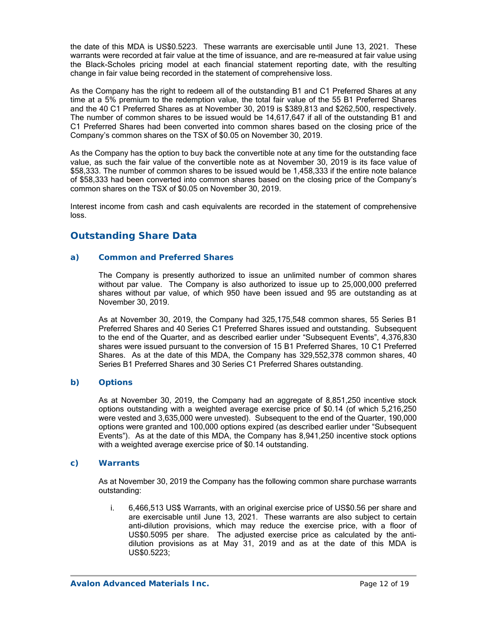the date of this MDA is US\$0.5223. These warrants are exercisable until June 13, 2021. These warrants were recorded at fair value at the time of issuance, and are re-measured at fair value using the Black-Scholes pricing model at each financial statement reporting date, with the resulting change in fair value being recorded in the statement of comprehensive loss.

As the Company has the right to redeem all of the outstanding B1 and C1 Preferred Shares at any time at a 5% premium to the redemption value, the total fair value of the 55 B1 Preferred Shares and the 40 C1 Preferred Shares as at November 30, 2019 is \$389,813 and \$262,500, respectively. The number of common shares to be issued would be 14,617,647 if all of the outstanding B1 and C1 Preferred Shares had been converted into common shares based on the closing price of the Company's common shares on the TSX of \$0.05 on November 30, 2019.

As the Company has the option to buy back the convertible note at any time for the outstanding face value, as such the fair value of the convertible note as at November 30, 2019 is its face value of \$58,333. The number of common shares to be issued would be 1,458,333 if the entire note balance of \$58,333 had been converted into common shares based on the closing price of the Company's common shares on the TSX of \$0.05 on November 30, 2019.

Interest income from cash and cash equivalents are recorded in the statement of comprehensive loss.

## **Outstanding Share Data**

### *a) Common and Preferred Shares*

The Company is presently authorized to issue an unlimited number of common shares without par value. The Company is also authorized to issue up to 25,000,000 preferred shares without par value, of which 950 have been issued and 95 are outstanding as at November 30, 2019.

As at November 30, 2019, the Company had 325,175,548 common shares, 55 Series B1 Preferred Shares and 40 Series C1 Preferred Shares issued and outstanding. Subsequent to the end of the Quarter, and as described earlier under "Subsequent Events", 4,376,830 shares were issued pursuant to the conversion of 15 B1 Preferred Shares, 10 C1 Preferred Shares. As at the date of this MDA, the Company has 329,552,378 common shares, 40 Series B1 Preferred Shares and 30 Series C1 Preferred Shares outstanding.

### *b) Options*

As at November 30, 2019, the Company had an aggregate of 8,851,250 incentive stock options outstanding with a weighted average exercise price of \$0.14 (of which 5,216,250 were vested and 3,635,000 were unvested). Subsequent to the end of the Quarter, 190,000 options were granted and 100,000 options expired (as described earlier under "Subsequent Events"). As at the date of this MDA, the Company has 8,941,250 incentive stock options with a weighted average exercise price of \$0.14 outstanding.

### *c) Warrants*

As at November 30, 2019 the Company has the following common share purchase warrants outstanding:

i. 6,466,513 US\$ Warrants, with an original exercise price of US\$0.56 per share and are exercisable until June 13, 2021. These warrants are also subject to certain anti-dilution provisions, which may reduce the exercise price, with a floor of US\$0.5095 per share. The adjusted exercise price as calculated by the antidilution provisions as at May 31, 2019 and as at the date of this MDA is US\$0.5223;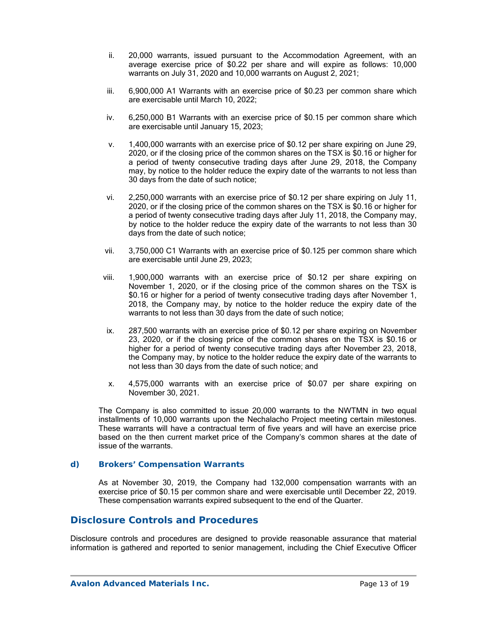- ii. 20,000 warrants, issued pursuant to the Accommodation Agreement, with an average exercise price of \$0.22 per share and will expire as follows: 10,000 warrants on July 31, 2020 and 10,000 warrants on August 2, 2021;
- iii. 6,900,000 A1 Warrants with an exercise price of \$0.23 per common share which are exercisable until March 10, 2022;
- iv. 6,250,000 B1 Warrants with an exercise price of \$0.15 per common share which are exercisable until January 15, 2023;
- v. 1,400,000 warrants with an exercise price of \$0.12 per share expiring on June 29, 2020, or if the closing price of the common shares on the TSX is \$0.16 or higher for a period of twenty consecutive trading days after June 29, 2018, the Company may, by notice to the holder reduce the expiry date of the warrants to not less than 30 days from the date of such notice;
- vi. 2,250,000 warrants with an exercise price of \$0.12 per share expiring on July 11, 2020, or if the closing price of the common shares on the TSX is \$0.16 or higher for a period of twenty consecutive trading days after July 11, 2018, the Company may, by notice to the holder reduce the expiry date of the warrants to not less than 30 days from the date of such notice;
- vii. 3,750,000 C1 Warrants with an exercise price of \$0.125 per common share which are exercisable until June 29, 2023;
- viii. 1,900,000 warrants with an exercise price of \$0.12 per share expiring on November 1, 2020, or if the closing price of the common shares on the TSX is \$0.16 or higher for a period of twenty consecutive trading days after November 1, 2018, the Company may, by notice to the holder reduce the expiry date of the warrants to not less than 30 days from the date of such notice;
- ix. 287,500 warrants with an exercise price of \$0.12 per share expiring on November 23, 2020, or if the closing price of the common shares on the TSX is \$0.16 or higher for a period of twenty consecutive trading days after November 23, 2018, the Company may, by notice to the holder reduce the expiry date of the warrants to not less than 30 days from the date of such notice; and
- x. 4,575,000 warrants with an exercise price of \$0.07 per share expiring on November 30, 2021.

The Company is also committed to issue 20,000 warrants to the NWTMN in two equal installments of 10,000 warrants upon the Nechalacho Project meeting certain milestones. These warrants will have a contractual term of five years and will have an exercise price based on the then current market price of the Company's common shares at the date of issue of the warrants.

### *d) Brokers' Compensation Warrants*

As at November 30, 2019, the Company had 132,000 compensation warrants with an exercise price of \$0.15 per common share and were exercisable until December 22, 2019. These compensation warrants expired subsequent to the end of the Quarter.

### **Disclosure Controls and Procedures**

Disclosure controls and procedures are designed to provide reasonable assurance that material information is gathered and reported to senior management, including the Chief Executive Officer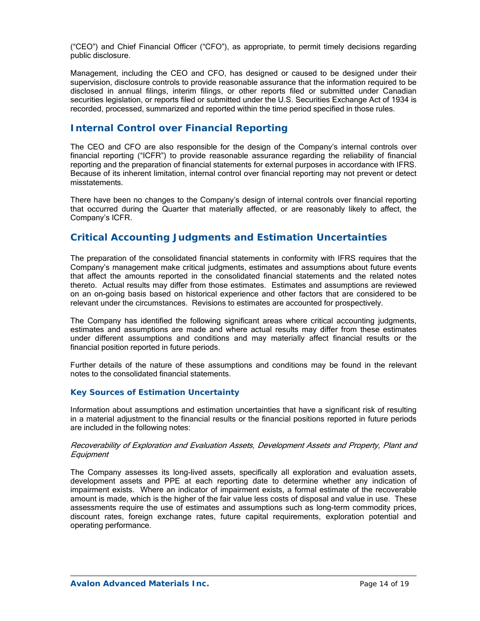("CEO") and Chief Financial Officer ("CFO"), as appropriate, to permit timely decisions regarding public disclosure.

Management, including the CEO and CFO, has designed or caused to be designed under their supervision, disclosure controls to provide reasonable assurance that the information required to be disclosed in annual filings, interim filings, or other reports filed or submitted under Canadian securities legislation, or reports filed or submitted under the U.S. Securities Exchange Act of 1934 is recorded, processed, summarized and reported within the time period specified in those rules.

# **Internal Control over Financial Reporting**

The CEO and CFO are also responsible for the design of the Company's internal controls over financial reporting ("ICFR") to provide reasonable assurance regarding the reliability of financial reporting and the preparation of financial statements for external purposes in accordance with IFRS. Because of its inherent limitation, internal control over financial reporting may not prevent or detect misstatements.

There have been no changes to the Company's design of internal controls over financial reporting that occurred during the Quarter that materially affected, or are reasonably likely to affect, the Company's ICFR.

## **Critical Accounting Judgments and Estimation Uncertainties**

The preparation of the consolidated financial statements in conformity with IFRS requires that the Company's management make critical judgments, estimates and assumptions about future events that affect the amounts reported in the consolidated financial statements and the related notes thereto. Actual results may differ from those estimates. Estimates and assumptions are reviewed on an on-going basis based on historical experience and other factors that are considered to be relevant under the circumstances. Revisions to estimates are accounted for prospectively.

The Company has identified the following significant areas where critical accounting judgments, estimates and assumptions are made and where actual results may differ from these estimates under different assumptions and conditions and may materially affect financial results or the financial position reported in future periods.

Further details of the nature of these assumptions and conditions may be found in the relevant notes to the consolidated financial statements.

### *Key Sources of Estimation Uncertainty*

Information about assumptions and estimation uncertainties that have a significant risk of resulting in a material adjustment to the financial results or the financial positions reported in future periods are included in the following notes:

### Recoverability of Exploration and Evaluation Assets, Development Assets and Property, Plant and **Equipment**

The Company assesses its long-lived assets, specifically all exploration and evaluation assets, development assets and PPE at each reporting date to determine whether any indication of impairment exists. Where an indicator of impairment exists, a formal estimate of the recoverable amount is made, which is the higher of the fair value less costs of disposal and value in use. These assessments require the use of estimates and assumptions such as long-term commodity prices, discount rates, foreign exchange rates, future capital requirements, exploration potential and operating performance.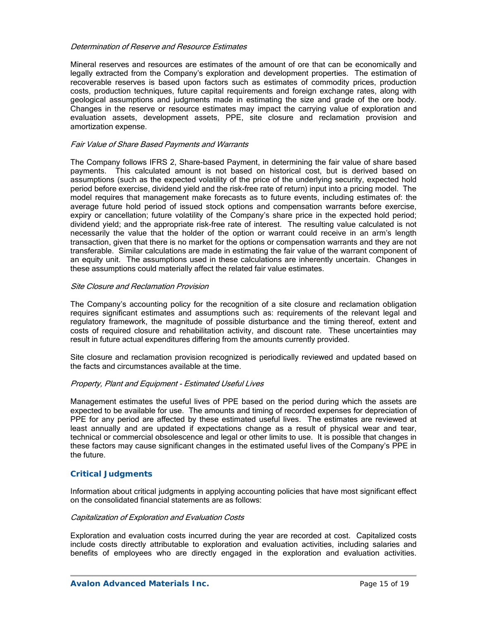#### Determination of Reserve and Resource Estimates

Mineral reserves and resources are estimates of the amount of ore that can be economically and legally extracted from the Company's exploration and development properties. The estimation of recoverable reserves is based upon factors such as estimates of commodity prices, production costs, production techniques, future capital requirements and foreign exchange rates, along with geological assumptions and judgments made in estimating the size and grade of the ore body. Changes in the reserve or resource estimates may impact the carrying value of exploration and evaluation assets, development assets, PPE, site closure and reclamation provision and amortization expense.

### Fair Value of Share Based Payments and Warrants

The Company follows IFRS 2, Share-based Payment, in determining the fair value of share based payments. This calculated amount is not based on historical cost, but is derived based on assumptions (such as the expected volatility of the price of the underlying security, expected hold period before exercise, dividend yield and the risk-free rate of return) input into a pricing model. The model requires that management make forecasts as to future events, including estimates of: the average future hold period of issued stock options and compensation warrants before exercise, expiry or cancellation; future volatility of the Company's share price in the expected hold period; dividend yield; and the appropriate risk-free rate of interest. The resulting value calculated is not necessarily the value that the holder of the option or warrant could receive in an arm's length transaction, given that there is no market for the options or compensation warrants and they are not transferable. Similar calculations are made in estimating the fair value of the warrant component of an equity unit. The assumptions used in these calculations are inherently uncertain. Changes in these assumptions could materially affect the related fair value estimates.

#### Site Closure and Reclamation Provision

The Company's accounting policy for the recognition of a site closure and reclamation obligation requires significant estimates and assumptions such as: requirements of the relevant legal and regulatory framework, the magnitude of possible disturbance and the timing thereof, extent and costs of required closure and rehabilitation activity, and discount rate. These uncertainties may result in future actual expenditures differing from the amounts currently provided.

Site closure and reclamation provision recognized is periodically reviewed and updated based on the facts and circumstances available at the time.

### Property, Plant and Equipment - Estimated Useful Lives

Management estimates the useful lives of PPE based on the period during which the assets are expected to be available for use. The amounts and timing of recorded expenses for depreciation of PPE for any period are affected by these estimated useful lives. The estimates are reviewed at least annually and are updated if expectations change as a result of physical wear and tear, technical or commercial obsolescence and legal or other limits to use. It is possible that changes in these factors may cause significant changes in the estimated useful lives of the Company's PPE in the future.

### *Critical Judgments*

Information about critical judgments in applying accounting policies that have most significant effect on the consolidated financial statements are as follows:

#### Capitalization of Exploration and Evaluation Costs

Exploration and evaluation costs incurred during the year are recorded at cost. Capitalized costs include costs directly attributable to exploration and evaluation activities, including salaries and benefits of employees who are directly engaged in the exploration and evaluation activities.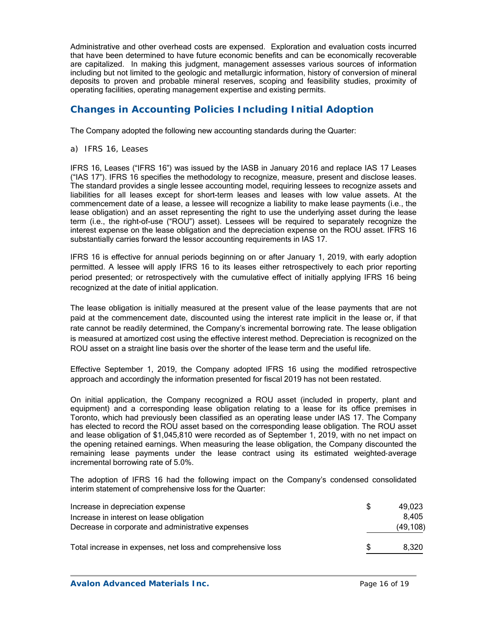Administrative and other overhead costs are expensed. Exploration and evaluation costs incurred that have been determined to have future economic benefits and can be economically recoverable are capitalized. In making this judgment, management assesses various sources of information including but not limited to the geologic and metallurgic information, history of conversion of mineral deposits to proven and probable mineral reserves, scoping and feasibility studies, proximity of operating facilities, operating management expertise and existing permits.

# **Changes in Accounting Policies Including Initial Adoption**

The Company adopted the following new accounting standards during the Quarter:

*a) IFRS 16, Leases* 

IFRS 16, Leases ("IFRS 16") was issued by the IASB in January 2016 and replace IAS 17 Leases ("IAS 17"). IFRS 16 specifies the methodology to recognize, measure, present and disclose leases. The standard provides a single lessee accounting model, requiring lessees to recognize assets and liabilities for all leases except for short-term leases and leases with low value assets. At the commencement date of a lease, a lessee will recognize a liability to make lease payments (i.e., the lease obligation) and an asset representing the right to use the underlying asset during the lease term (i.e., the right-of-use ("ROU") asset). Lessees will be required to separately recognize the interest expense on the lease obligation and the depreciation expense on the ROU asset. IFRS 16 substantially carries forward the lessor accounting requirements in IAS 17.

IFRS 16 is effective for annual periods beginning on or after January 1, 2019, with early adoption permitted. A lessee will apply IFRS 16 to its leases either retrospectively to each prior reporting period presented; or retrospectively with the cumulative effect of initially applying IFRS 16 being recognized at the date of initial application.

The lease obligation is initially measured at the present value of the lease payments that are not paid at the commencement date, discounted using the interest rate implicit in the lease or, if that rate cannot be readily determined, the Company's incremental borrowing rate. The lease obligation is measured at amortized cost using the effective interest method. Depreciation is recognized on the ROU asset on a straight line basis over the shorter of the lease term and the useful life.

Effective September 1, 2019, the Company adopted IFRS 16 using the modified retrospective approach and accordingly the information presented for fiscal 2019 has not been restated.

On initial application, the Company recognized a ROU asset (included in property, plant and equipment) and a corresponding lease obligation relating to a lease for its office premises in Toronto, which had previously been classified as an operating lease under IAS 17. The Company has elected to record the ROU asset based on the corresponding lease obligation. The ROU asset and lease obligation of \$1,045,810 were recorded as of September 1, 2019, with no net impact on the opening retained earnings. When measuring the lease obligation, the Company discounted the remaining lease payments under the lease contract using its estimated weighted‐average incremental borrowing rate of 5.0%.

The adoption of IFRS 16 had the following impact on the Company's condensed consolidated interim statement of comprehensive loss for the Quarter:

| Increase in depreciation expense                            | 49.023    |
|-------------------------------------------------------------|-----------|
| Increase in interest on lease obligation                    | 8,405     |
| Decrease in corporate and administrative expenses           | (49, 108) |
| Total increase in expenses, net loss and comprehensive loss | 8.320     |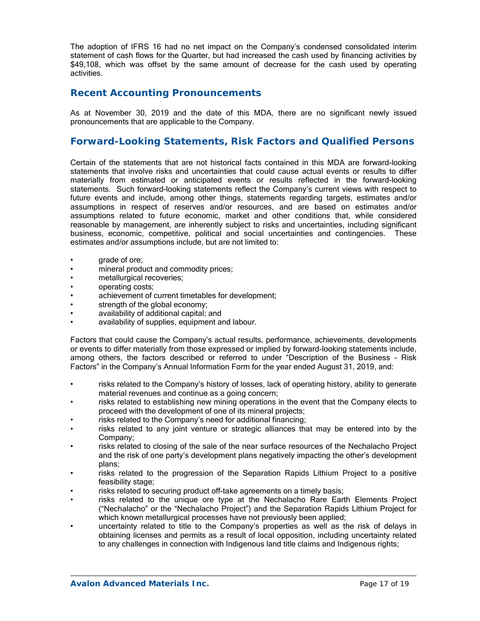The adoption of IFRS 16 had no net impact on the Company's condensed consolidated interim statement of cash flows for the Quarter, but had increased the cash used by financing activities by \$49,108, which was offset by the same amount of decrease for the cash used by operating activities.

## **Recent Accounting Pronouncements**

As at November 30, 2019 and the date of this MDA, there are no significant newly issued pronouncements that are applicable to the Company.

## **Forward-Looking Statements, Risk Factors and Qualified Persons**

Certain of the statements that are not historical facts contained in this MDA are forward-looking statements that involve risks and uncertainties that could cause actual events or results to differ materially from estimated or anticipated events or results reflected in the forward-looking statements. Such forward-looking statements reflect the Company's current views with respect to future events and include, among other things, statements regarding targets, estimates and/or assumptions in respect of reserves and/or resources, and are based on estimates and/or assumptions related to future economic, market and other conditions that, while considered reasonable by management, are inherently subject to risks and uncertainties, including significant business, economic, competitive, political and social uncertainties and contingencies. These estimates and/or assumptions include, but are not limited to:

- qrade of ore;
- mineral product and commodity prices;
- metallurgical recoveries:
- operating costs;
- achievement of current timetables for development;
- strength of the global economy;
- availability of additional capital; and
- availability of supplies, equipment and labour.

Factors that could cause the Company's actual results, performance, achievements, developments or events to differ materially from those expressed or implied by forward-looking statements include, among others, the factors described or referred to under "Description of the Business - Risk Factors" in the Company's Annual Information Form for the year ended August 31, 2019, and:

- risks related to the Company's history of losses, lack of operating history, ability to generate material revenues and continue as a going concern;
- risks related to establishing new mining operations in the event that the Company elects to proceed with the development of one of its mineral projects;
- risks related to the Company's need for additional financing;
- risks related to any joint venture or strategic alliances that may be entered into by the Company;
- risks related to closing of the sale of the near surface resources of the Nechalacho Project and the risk of one party's development plans negatively impacting the other's development plans;
- risks related to the progression of the Separation Rapids Lithium Project to a positive feasibility stage;
- risks related to securing product off-take agreements on a timely basis;
- risks related to the unique ore type at the Nechalacho Rare Earth Elements Project ("Nechalacho" or the "Nechalacho Project") and the Separation Rapids Lithium Project for which known metallurgical processes have not previously been applied;
- uncertainty related to title to the Company's properties as well as the risk of delays in obtaining licenses and permits as a result of local opposition, including uncertainty related to any challenges in connection with Indigenous land title claims and Indigenous rights;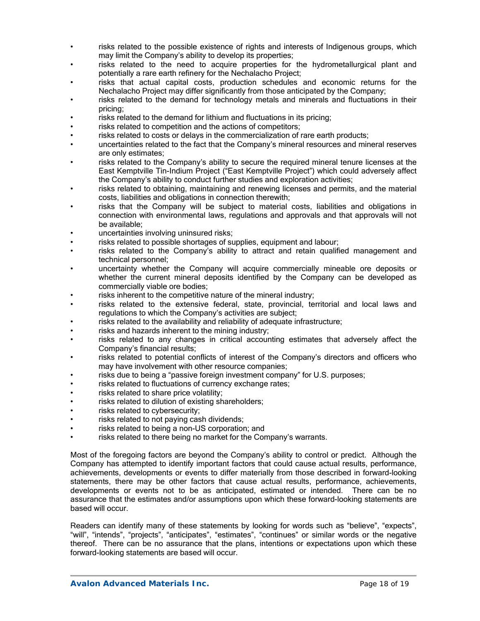- risks related to the possible existence of rights and interests of Indigenous groups, which may limit the Company's ability to develop its properties;
- risks related to the need to acquire properties for the hydrometallurgical plant and potentially a rare earth refinery for the Nechalacho Project;
- risks that actual capital costs, production schedules and economic returns for the Nechalacho Project may differ significantly from those anticipated by the Company;
- risks related to the demand for technology metals and minerals and fluctuations in their pricing;
- risks related to the demand for lithium and fluctuations in its pricing:
- risks related to competition and the actions of competitors:
- risks related to costs or delays in the commercialization of rare earth products;
- uncertainties related to the fact that the Company's mineral resources and mineral reserves are only estimates;
- risks related to the Company's ability to secure the required mineral tenure licenses at the East Kemptville Tin-Indium Project ("East Kemptville Project") which could adversely affect the Company's ability to conduct further studies and exploration activities;
- risks related to obtaining, maintaining and renewing licenses and permits, and the material costs, liabilities and obligations in connection therewith;
- risks that the Company will be subject to material costs, liabilities and obligations in connection with environmental laws, regulations and approvals and that approvals will not be available;
- uncertainties involving uninsured risks;
- risks related to possible shortages of supplies, equipment and labour;
- risks related to the Company's ability to attract and retain qualified management and technical personnel;
- uncertainty whether the Company will acquire commercially mineable ore deposits or whether the current mineral deposits identified by the Company can be developed as commercially viable ore bodies;
- risks inherent to the competitive nature of the mineral industry;
- risks related to the extensive federal, state, provincial, territorial and local laws and regulations to which the Company's activities are subject;
- risks related to the availability and reliability of adequate infrastructure;
- risks and hazards inherent to the mining industry;
- risks related to any changes in critical accounting estimates that adversely affect the Company's financial results;
- risks related to potential conflicts of interest of the Company's directors and officers who may have involvement with other resource companies;
- risks due to being a "passive foreign investment company" for U.S. purposes;
- risks related to fluctuations of currency exchange rates;
- risks related to share price volatility;
- risks related to dilution of existing shareholders;
- risks related to cybersecurity;
- risks related to not paying cash dividends;
- risks related to being a non-US corporation; and
- risks related to there being no market for the Company's warrants.

Most of the foregoing factors are beyond the Company's ability to control or predict. Although the Company has attempted to identify important factors that could cause actual results, performance, achievements, developments or events to differ materially from those described in forward-looking statements, there may be other factors that cause actual results, performance, achievements, developments or events not to be as anticipated, estimated or intended. There can be no assurance that the estimates and/or assumptions upon which these forward-looking statements are based will occur.

Readers can identify many of these statements by looking for words such as "believe", "expects", "will", "intends", "projects", "anticipates", "estimates", "continues" or similar words or the negative thereof. There can be no assurance that the plans, intentions or expectations upon which these forward-looking statements are based will occur.